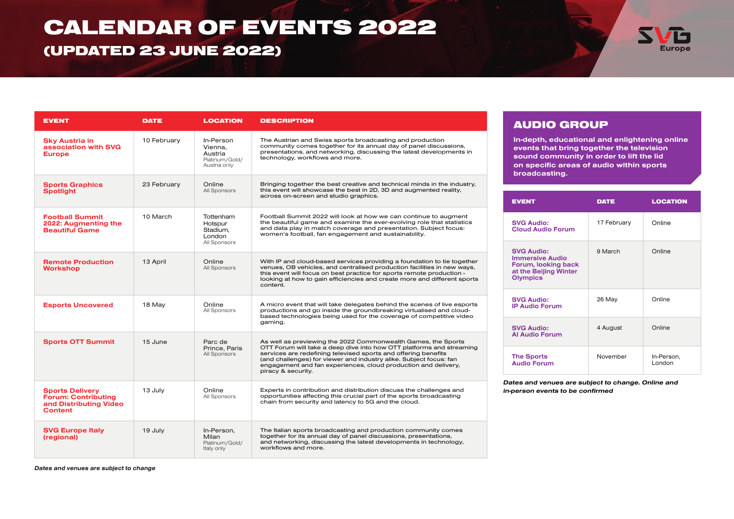## CALENDAR OF EVENTS 2022

## (UPDATED 23 JUNE 2022)



| <b>EVENT</b>                                                                                     | <b>DATE</b> | <b>LOCATION</b>                                                   | <b>DESCRIPTION</b>                                                                                                                                                                                                                                                                                                                                                    |  |
|--------------------------------------------------------------------------------------------------|-------------|-------------------------------------------------------------------|-----------------------------------------------------------------------------------------------------------------------------------------------------------------------------------------------------------------------------------------------------------------------------------------------------------------------------------------------------------------------|--|
| <b>Sky Austria in</b><br>association with SVG<br><b>Europe</b>                                   | 10 February | In-Person<br>Vienna.<br>Austria<br>Platinum/Gold/<br>Austria only | The Austrian and Swiss sports broadcasting and production<br>community comes together for its annual day of panel discussions,<br>presentations, and networking, discussing the latest developments in<br>technology, workflows and more.                                                                                                                             |  |
| <b>Sports Graphics</b><br><b>Spotlight</b>                                                       | 23 February | Online<br>All Sponsors                                            | Bringing together the best creative and technical minds in the industry,<br>this event will showcase the best in 2D, 3D and augmented reality,<br>across on-screen and studio graphics.                                                                                                                                                                               |  |
| <b>Football Summit</b><br>2022: Augmenting the<br><b>Beautiful Game</b>                          | 10 March    | Tottenham<br>Hotspur<br>Stadium,<br><b>London</b><br>All Sponsors | Football Summit 2022 will look at how we can continue to augment<br>the beautiful game and examine the ever-evolving role that statistics<br>and data play in match coverage and presentation. Subject focus:<br>women's football, fan engagement and sustainability.                                                                                                 |  |
| <b>Remote Production</b><br><b>Workshop</b>                                                      | 13 April    | Online<br>All Sponsors                                            | With IP and cloud-based services providing a foundation to tie together<br>venues, OB vehicles, and centralised production facilities in new ways,<br>this event will focus on best practice for sports remote production -<br>looking at how to gain efficiencies and create more and different sports<br>content.                                                   |  |
| <b>Esports Uncovered</b>                                                                         | 18 May      | Online<br>All Sponsors                                            | A micro event that will take delegates behind the scenes of live esports<br>productions and go inside the groundbreaking virtualised and cloud-<br>based technologies being used for the coverage of competitive video<br>gaming.                                                                                                                                     |  |
| <b>Sports OTT Summit</b>                                                                         | 15 June     | Parc de<br>Prince, Paris<br>All Sponsors                          | As well as previewing the 2022 Commonwealth Games, the Sports<br>OTT Forum will take a deep dive into how OTT platforms and streaming<br>services are redefining televised sports and offering benefits<br>(and challenges) for viewer and industry alike. Subject focus: fan<br>engagement and fan experiences, cloud production and delivery,<br>piracy & security. |  |
| <b>Sports Delivery</b><br><b>Forum: Contributing</b><br>and Distributing Video<br><b>Content</b> | 13 July     | Online<br>All Sponsors                                            | Experts in contribution and distribution discuss the challenges and<br>opportunities affecting this crucial part of the sports broadcasting<br>chain from security and latency to 5G and the cloud.                                                                                                                                                                   |  |
| <b>SVG Europe Italy</b><br>(regional)                                                            | 19 July     | In-Person,<br>Milan<br>Platinum/Gold/<br>Italy only               | The Italian sports broadcasting and production community comes<br>together for its annual day of panel discussions, presentations,<br>and networking, discussing the latest developments in technology,<br>workflows and more.                                                                                                                                        |  |

### AUDIO GROUP

In-depth, educational and enlightening online events that bring together the television sound community in order to lift the lid on specific areas of audio within sports broadcasting.

| <b>EVENT</b>                                                                                                   | <b>DATE</b> | <b>LOCATION</b>      |
|----------------------------------------------------------------------------------------------------------------|-------------|----------------------|
| <b>SVG Audio:</b><br><b>Cloud Audio Forum</b>                                                                  | 17 February | Online               |
| <b>SVG Audio:</b><br><b>Immersive Audio</b><br>Forum, looking back<br>at the Beijing Winter<br><b>Olympics</b> | 9 March     | Online               |
| <b>SVG Audio:</b><br><b>IP Audio Forum</b>                                                                     | 26 May      | Online               |
| <b>SVG Audio:</b><br><b>Al Audio Forum</b>                                                                     | 4 August    | Online               |
| <b>The Sports</b><br><b>Audio Forum</b>                                                                        | November    | In-Person,<br>London |

Dates and venues are subject to change. Online and in-person events to be confirmed

Dates and venues are subject to change